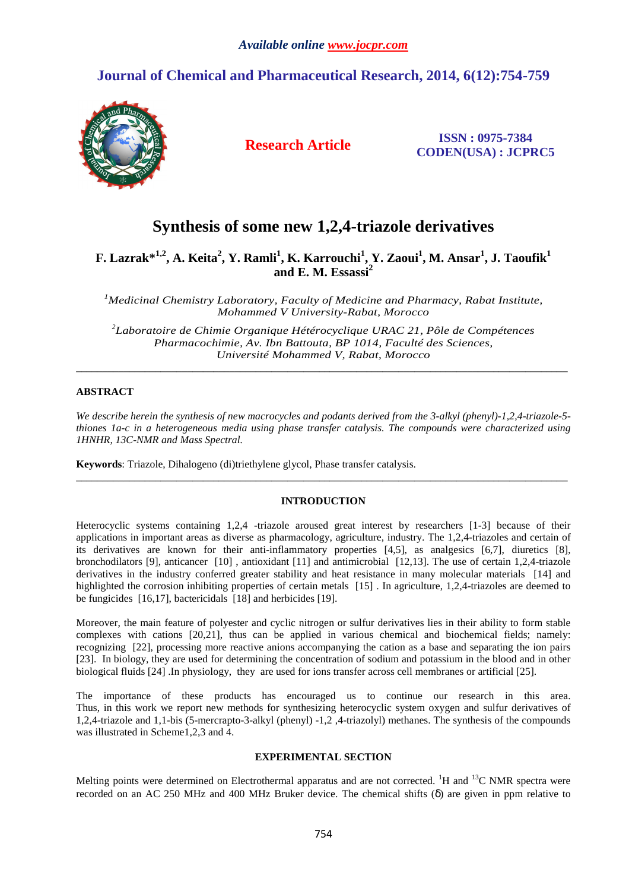# **Journal of Chemical and Pharmaceutical Research, 2014, 6(12):754-759**



 **Research Article ISSN : 0975-7384 CODEN(USA) : JCPRC5**

# **Synthesis of some new 1,2,4-triazole derivatives**

**F. Lazrak\*1,2, A. Keita<sup>2</sup> , Y. Ramli<sup>1</sup> , K. Karrouchi<sup>1</sup> , Y. Zaoui<sup>1</sup> , M. Ansar<sup>1</sup> , J. Taoufik<sup>1</sup> and E. M. Essassi<sup>2</sup>**

*<sup>1</sup>Medicinal Chemistry Laboratory, Faculty of Medicine and Pharmacy, Rabat Institute, Mohammed V University-Rabat, Morocco* 

*2 Laboratoire de Chimie Organique Hétérocyclique URAC 21, Pôle de Compétences Pharmacochimie, Av. Ibn Battouta, BP 1014, Faculté des Sciences, Université Mohammed V, Rabat, Morocco*

\_\_\_\_\_\_\_\_\_\_\_\_\_\_\_\_\_\_\_\_\_\_\_\_\_\_\_\_\_\_\_\_\_\_\_\_\_\_\_\_\_\_\_\_\_\_\_\_\_\_\_\_\_\_\_\_\_\_\_\_\_\_\_\_\_\_\_\_\_\_\_\_\_\_\_\_\_\_\_\_\_\_\_\_\_\_\_\_\_\_\_\_\_

# **ABSTRACT**

*We describe herein the synthesis of new macrocycles and podants derived from the 3-alkyl (phenyl)-1,2,4-triazole-5 thiones 1a-c in a heterogeneous media using phase transfer catalysis. The compounds were characterized using 1HNHR, 13C-NMR and Mass Spectral.* 

**Keywords**: Triazole, Dihalogeno (di)triethylene glycol, Phase transfer catalysis.

#### **INTRODUCTION**

 $\overline{a}$  , and the contribution of the contribution of the contribution of the contribution of the contribution of the contribution of the contribution of the contribution of the contribution of the contribution of the co

Heterocyclic systems containing 1,2,4 -triazole aroused great interest by researchers [1-3] because of their applications in important areas as diverse as pharmacology, agriculture, industry. The 1,2,4-triazoles and certain of its derivatives are known for their anti-inflammatory properties [4,5], as analgesics [6,7], diuretics [8], bronchodilators [9], anticancer [10] , antioxidant [11] and antimicrobial [12,13]. The use of certain 1,2,4-triazole derivatives in the industry conferred greater stability and heat resistance in many molecular materials [14] and highlighted the corrosion inhibiting properties of certain metals [15]. In agriculture, 1,2,4-triazoles are deemed to be fungicides [16,17], bactericidals [18] and herbicides [19].

Moreover, the main feature of polyester and cyclic nitrogen or sulfur derivatives lies in their ability to form stable complexes with cations [20,21], thus can be applied in various chemical and biochemical fields; namely: recognizing [22], processing more reactive anions accompanying the cation as a base and separating the ion pairs [23]. In biology, they are used for determining the concentration of sodium and potassium in the blood and in other biological fluids [24] .In physiology, they are used for ions transfer across cell membranes or artificial [25].

The importance of these products has encouraged us to continue our research in this area. Thus, in this work we report new methods for synthesizing heterocyclic system oxygen and sulfur derivatives of 1,2,4-triazole and 1,1-bis (5-mercrapto-3-alkyl (phenyl) -1,2 ,4-triazolyl) methanes. The synthesis of the compounds was illustrated in Scheme1,2,3 and 4.

### **EXPERIMENTAL SECTION**

Melting points were determined on Electrothermal apparatus and are not corrected. <sup>1</sup>H and <sup>13</sup>C NMR spectra were recorded on an AC 250 MHz and 400 MHz Bruker device. The chemical shifts (δ) are given in ppm relative to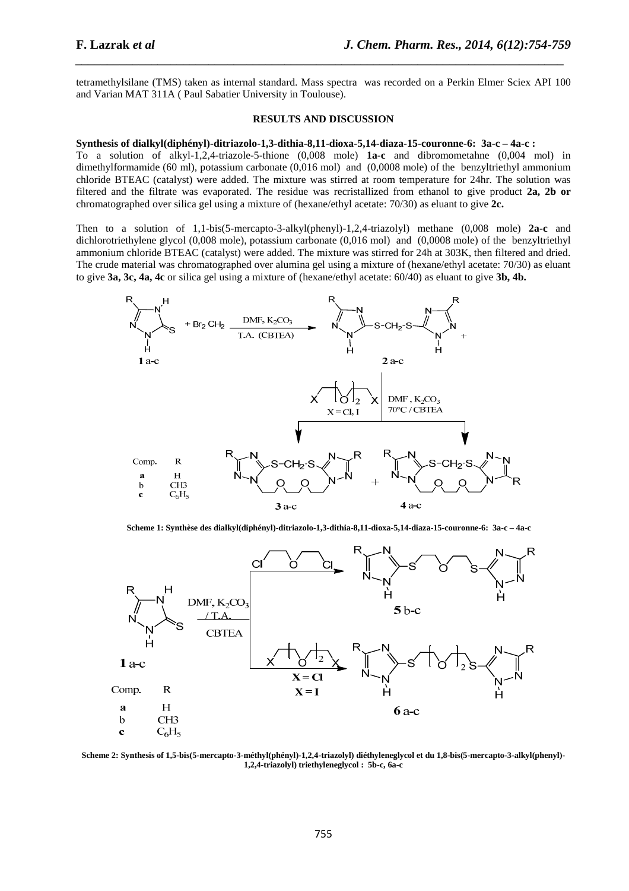tetramethylsilane (TMS) taken as internal standard. Mass spectra was recorded on a Perkin Elmer Sciex API 100 and Varian MAT 311A ( Paul Sabatier University in Toulouse).

*\_\_\_\_\_\_\_\_\_\_\_\_\_\_\_\_\_\_\_\_\_\_\_\_\_\_\_\_\_\_\_\_\_\_\_\_\_\_\_\_\_\_\_\_\_\_\_\_\_\_\_\_\_\_\_\_\_\_\_\_\_\_\_\_\_\_\_\_\_\_\_\_\_\_\_\_\_*

#### **RESULTS AND DISCUSSION**

#### **Synthesis of dialkyl(diphényl)-ditriazolo-1,3-dithia-8,11-dioxa-5,14-diaza-15-couronne-6: 3a-c – 4a-c :**

To a solution of alkyl-1,2,4-triazole-5-thione (0,008 mole) **1a-c** and dibromometahne (0,004 mol) in dimethylformamide (60 ml), potassium carbonate (0,016 mol) and (0,0008 mole) of the benzyltriethyl ammonium chloride BTEAC (catalyst) were added. The mixture was stirred at room temperature for 24hr. The solution was filtered and the filtrate was evaporated. The residue was recristallized from ethanol to give product **2a, 2b or** chromatographed over silica gel using a mixture of (hexane/ethyl acetate: 70/30) as eluant to give **2c.** 

Then to a solution of 1,1-bis(5-mercapto-3-alkyl(phenyl)-1,2,4-triazolyl) methane (0,008 mole) **2a-c** and dichlorotriethylene glycol (0,008 mole), potassium carbonate (0,016 mol) and (0,0008 mole) of the benzyltriethyl ammonium chloride BTEAC (catalyst) were added. The mixture was stirred for 24h at 303K, then filtered and dried. The crude material was chromatographed over alumina gel using a mixture of (hexane/ethyl acetate: 70/30) as eluant to give **3a, 3c, 4a, 4c** or silica gel using a mixture of (hexane/ethyl acetate: 60/40) as eluant to give **3b, 4b.** 



**Scheme 1: Synthèse des dialkyl(diphényl)-ditriazolo-1,3-dithia-8,11-dioxa-5,14-diaza-15-couronne-6: 3a-c – 4a-c** 



**Scheme 2: Synthesis of 1,5-bis(5-mercapto-3-méthyl(phényl)-1,2,4-triazolyl) diéthyleneglycol et du 1,8-bis(5-mercapto-3-alkyl(phenyl)- 1,2,4-triazolyl) triethyleneglycol : 5b-c, 6a-c**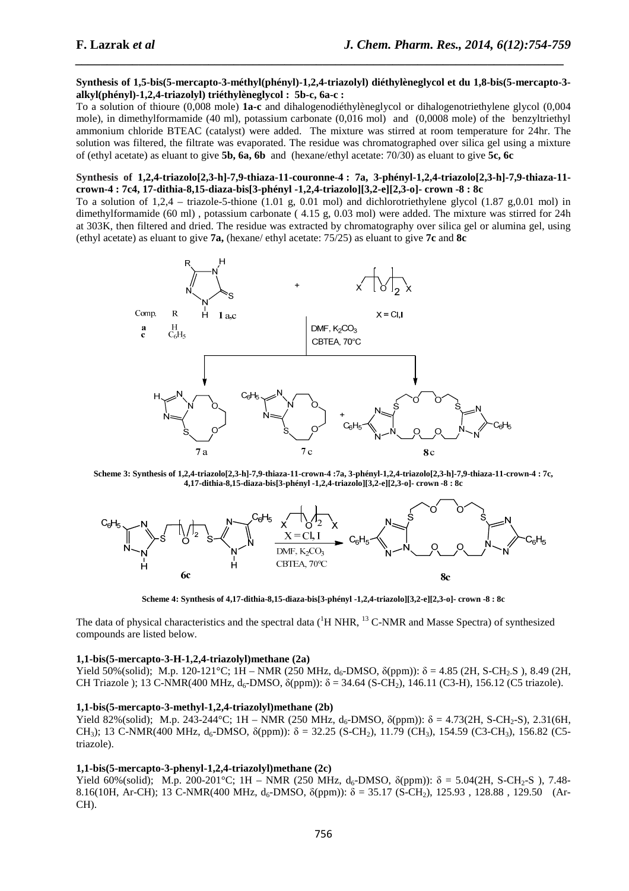#### **Synthesis of 1,5-bis(5-mercapto-3-méthyl(phényl)-1,2,4-triazolyl) diéthylèneglycol et du 1,8-bis(5-mercapto-3 alkyl(phényl)-1,2,4-triazolyl) triéthylèneglycol : 5b-c, 6a-c :**

*\_\_\_\_\_\_\_\_\_\_\_\_\_\_\_\_\_\_\_\_\_\_\_\_\_\_\_\_\_\_\_\_\_\_\_\_\_\_\_\_\_\_\_\_\_\_\_\_\_\_\_\_\_\_\_\_\_\_\_\_\_\_\_\_\_\_\_\_\_\_\_\_\_\_\_\_\_*

To a solution of thioure (0,008 mole) **1a-c** and dihalogenodiéthylèneglycol or dihalogenotriethylene glycol (0,004 mole), in dimethylformamide (40 ml), potassium carbonate (0,016 mol) and (0,0008 mole) of the benzyltriethyl ammonium chloride BTEAC (catalyst) were added. The mixture was stirred at room temperature for 24hr. The solution was filtered, the filtrate was evaporated. The residue was chromatographed over silica gel using a mixture of (ethyl acetate) as eluant to give **5b, 6a, 6b** and (hexane/ethyl acetate: 70/30) as eluant to give **5c, 6c** 

#### **Synthesis of 1,2,4-triazolo[2,3-h]-7,9-thiaza-11-couronne-4 : 7a, 3-phényl-1,2,4-triazolo[2,3-h]-7,9-thiaza-11 crown-4 : 7c4, 17-dithia-8,15-diaza-bis[3-phényl -1,2,4-triazolo][3,2-e][2,3-o]- crown -8 : 8c**

To a solution of  $1,2,4$  – triazole-5-thione  $(1.01 \text{ g}, 0.01 \text{ mol})$  and dichlorotriethylene glycol  $(1.87 \text{ g},0.01 \text{ mol})$  in dimethylformamide (60 ml) , potassium carbonate ( 4.15 g, 0.03 mol) were added. The mixture was stirred for 24h at 303K, then filtered and dried. The residue was extracted by chromatography over silica gel or alumina gel, using (ethyl acetate) as eluant to give **7a,** (hexane/ ethyl acetate: 75/25) as eluant to give **7c** and **8c**



**Scheme 3: Synthesis of 1,2,4-triazolo[2,3-h]-7,9-thiaza-11-crown-4 :7a, 3-phényl-1,2,4-triazolo[2,3-h]-7,9-thiaza-11-crown-4 : 7c, 4,17-dithia-8,15-diaza-bis[3-phényl -1,2,4-triazolo][3,2-e][2,3-o]- crown -8 : 8c**



**Scheme 4: Synthesis of 4,17-dithia-8,15-diaza-bis[3-phényl -1,2,4-triazolo][3,2-e][2,3-o]- crown -8 : 8c** 

The data of physical characteristics and the spectral data (<sup>1</sup>H NHR, <sup>13</sup> C-NMR and Masse Spectra) of synthesized compounds are listed below.

#### **1,1-bis(5-mercapto-3-H-1,2,4-triazolyl)methane (2a)**

Yield 50%(solid); M.p. 120-121°C; 1H – NMR (250 MHz, d<sub>6</sub>-DMSO,  $\delta$ (ppm)):  $\delta$  = 4.85 (2H, S-CH<sub>2</sub>.S), 8.49 (2H, CH Triazole ); 13 C-NMR(400 MHz,  $d_6$ -DMSO,  $\delta$ (ppm)):  $\delta$  = 34.64 (S-CH<sub>2</sub>), 146.11 (C3-H), 156.12 (C5 triazole).

#### **1,1-bis(5-mercapto-3-methyl-1,2,4-triazolyl)methane (2b)**

Yield 82%(solid); M.p. 243-244°C; 1H – NMR (250 MHz,  $d_6$ -DMSO,  $\delta$ (ppm)):  $\delta = 4.73(2H, S-CH_2-S), 2.31(6H, S-CH_2-S)$ CH<sub>3</sub>); 13 C-NMR(400 MHz, d<sub>6</sub>-DMSO,  $\delta$ (ppm)):  $\delta = 32.25$  (S-CH<sub>2</sub>), 11.79 (CH<sub>3</sub>), 154.59 (C3-CH<sub>3</sub>), 156.82 (C5triazole).

#### **1,1-bis(5-mercapto-3-phenyl-1,2,4-triazolyl)methane (2c)**

Yield 60%(solid); M.p. 200-201°C; 1H – NMR (250 MHz, d<sub>6</sub>-DMSO,  $\delta$ (ppm)):  $\delta = 5.04(2H, S\text{-CH}_2-S)$ , 7.48-8.16(10H, Ar-CH); 13 C-NMR(400 MHz,  $d_6$ -DMSO,  $\delta$ (ppm)):  $\delta = 35.17$  (S-CH<sub>2</sub>), 125.93, 128.88, 129.50 (Ar-CH).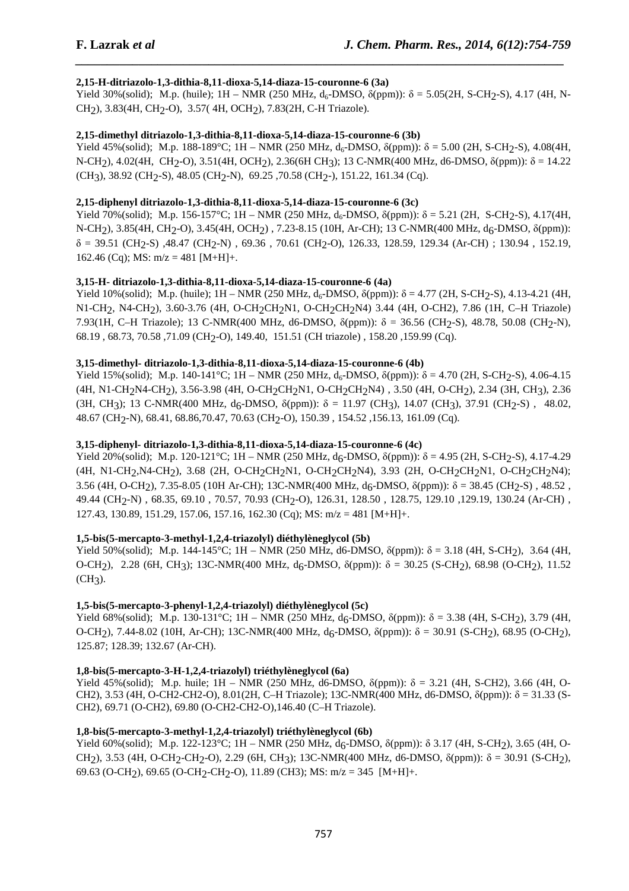# **2,15-H-ditriazolo-1,3-dithia-8,11-dioxa-5,14-diaza-15-couronne-6 (3a)**

Yield 30%(solid); M.p. (huile);  $1H - NMR$  (250 MHz,  $d_6$ -DMSO,  $\delta$ (ppm)):  $\delta = 5.05(2H, S-CH_2-S)$ , 4.17 (4H, N-CH2), 3.83(4H, CH2-O), 3.57( 4H, OCH2), 7.83(2H, C-H Triazole).

*\_\_\_\_\_\_\_\_\_\_\_\_\_\_\_\_\_\_\_\_\_\_\_\_\_\_\_\_\_\_\_\_\_\_\_\_\_\_\_\_\_\_\_\_\_\_\_\_\_\_\_\_\_\_\_\_\_\_\_\_\_\_\_\_\_\_\_\_\_\_\_\_\_\_\_\_\_*

# **2,15-dimethyl ditriazolo-1,3-dithia-8,11-dioxa-5,14-diaza-15-couronne-6 (3b)**

Yield 45%(solid); M.p. 188-189°C; 1H – NMR (250 MHz, d<sub>6</sub>-DMSO,  $\delta$ (ppm)):  $\delta$  = 5.00 (2H, S-CH<sub>2</sub>-S), 4.08(4H, N-CH2), 4.02(4H, CH2-O), 3.51(4H, OCH2), 2.36(6H CH3); 13 C-NMR(400 MHz, d6-DMSO, δ(ppm)): δ = 14.22  $(CH_3)$ , 38.92 (CH<sub>2</sub>-S), 48.05 (CH<sub>2</sub>-N), 69.25 ,70.58 (CH<sub>2</sub>-), 151.22, 161.34 (Cq).

# **2,15-diphenyl ditriazolo-1,3-dithia-8,11-dioxa-5,14-diaza-15-couronne-6 (3c)**

Yield 70%(solid); M.p. 156-157°C; 1H – NMR (250 MHz, d<sub>6</sub>-DMSO,  $\delta$ (ppm)):  $\delta$  = 5.21 (2H, S-CH<sub>2</sub>-S), 4.17(4H, N-CH2), 3.85(4H, CH2-O), 3.45(4H, OCH2) , 7.23-8.15 (10H, Ar-CH); 13 C-NMR(400 MHz, d6-DMSO, δ(ppm)):  $\delta$  = 39.51 (CH<sub>2</sub>-S), 48.47 (CH<sub>2</sub>-N), 69.36, 70.61 (CH<sub>2</sub>-O), 126.33, 128.59, 129.34 (Ar-CH) ; 130.94, 152.19, 162.46 (Cq); MS:  $m/z = 481$  [M+H]+.

# **3,15-H- ditriazolo-1,3-dithia-8,11-dioxa-5,14-diaza-15-couronne-6 (4a)**

Yield 10%(solid); M.p. (huile);  $1H - NMR$  (250 MHz,  $d_6$ -DMSO,  $\delta(ppm)$ ):  $\delta = 4.77$  (2H, S-CH<sub>2</sub>-S), 4.13-4.21 (4H, N1-CH2, N4-CH2), 3.60-3.76 (4H, O-CH2CH2N1, O-CH2CH2N4) 3.44 (4H, O-CH2), 7.86 (1H, C–H Triazole) 7.93(1H, C–H Triazole); 13 C-NMR(400 MHz, d6-DMSO, δ(ppm)): δ = 36.56 (CH2-S), 48.78, 50.08 (CH2-N), 68.19 , 68.73, 70.58 ,71.09 (CH2-O), 149.40, 151.51 (CH triazole) , 158.20 ,159.99 (Cq).

# **3,15-dimethyl- ditriazolo-1,3-dithia-8,11-dioxa-5,14-diaza-15-couronne-6 (4b)**

Yield 15%(solid); M.p. 140-141°C; 1H – NMR (250 MHz, d<sub>6</sub>-DMSO,  $\delta$ (ppm)):  $\delta$  = 4.70 (2H, S-CH<sub>2</sub>-S), 4.06-4.15 (4H, N1-CH2N4-CH2), 3.56-3.98 (4H, O-CH2CH2N1, O-CH2CH2N4) , 3.50 (4H, O-CH2), 2.34 (3H, CH3), 2.36  $(3H, CH_3)$ ; 13 C-NMR(400 MHz, d<sub>6</sub>-DMSO,  $\delta(ppm)$ ):  $\delta = 11.97$  (CH<sub>3</sub>), 14.07 (CH<sub>3</sub>), 37.91 (CH<sub>2</sub>-S), 48.02, 48.67 (CH2-N), 68.41, 68.86,70.47, 70.63 (CH2-O), 150.39 , 154.52 ,156.13, 161.09 (Cq).

### **3,15-diphenyl- ditriazolo-1,3-dithia-8,11-dioxa-5,14-diaza-15-couronne-6 (4c)**

Yield 20%(solid); M.p. 120-121°C; 1H – NMR (250 MHz, d<sub>6</sub>-DMSO,  $\delta$ (ppm)):  $\delta$  = 4.95 (2H, S-CH<sub>2</sub>-S), 4.17-4.29 (4H, N1-CH<sub>2</sub>,N4-CH<sub>2</sub>), 3.68 (2H, O-CH<sub>2</sub>CH<sub>2</sub>N1, O-CH<sub>2</sub>CH<sub>2</sub>N4), 3.93 (2H, O-CH<sub>2</sub>CH<sub>2</sub>N1, O-CH<sub>2</sub>CH<sub>2</sub>N4); 3.56 (4H, O-CH2), 7.35-8.05 (10H Ar-CH); 13C-NMR(400 MHz, d6-DMSO, δ(ppm)): δ = 38.45 (CH2-S) , 48.52 , 49.44 (CH2-N) , 68.35, 69.10 , 70.57, 70.93 (CH2-O), 126.31, 128.50 , 128.75, 129.10 ,129.19, 130.24 (Ar-CH) , 127.43, 130.89, 151.29, 157.06, 157.16, 162.30 (Cq); MS:  $m/z = 481$  [M+H]+.

# **1,5-bis(5-mercapto-3-methyl-1,2,4-triazolyl) diéthylèneglycol (5b)**

Yield 50%(solid); M.p. 144-145°C; 1H – NMR (250 MHz, d6-DMSO,  $δ(ppm)$ ):  $δ = 3.18$  (4H, S-CH<sub>2</sub>), 3.64 (4H, O-CH<sub>2</sub>), 2.28 (6H, CH<sub>3</sub>); 13C-NMR(400 MHz, d<sub>6</sub>-DMSO,  $\delta$ (ppm)): δ = 30.25 (S-CH<sub>2</sub>), 68.98 (O-CH<sub>2</sub>), 11.52  $(CH<sub>3</sub>)$ .

# **1,5-bis(5-mercapto-3-phenyl-1,2,4-triazolyl) diéthylèneglycol (5c)**

Yield 68%(solid); M.p. 130-131°C; 1H – NMR (250 MHz, d<sub>6</sub>-DMSO, δ(ppm)): δ = 3.38 (4H, S-CH<sub>2</sub>), 3.79 (4H, O-CH<sub>2</sub>), 7.44-8.02 (10H, Ar-CH); 13C-NMR(400 MHz, d<sub>6</sub>-DMSO,  $δ$ (ppm)):  $δ = 30.91$  (S-CH<sub>2</sub>), 68.95 (O-CH<sub>2</sub>), 125.87; 128.39; 132.67 (Ar-CH).

# **1,8-bis(5-mercapto-3-H-1,2,4-triazolyl) triéthylèneglycol (6a)**

Yield 45%(solid); M.p. huile;  $1H - NMR$  (250 MHz, d6-DMSO,  $\delta(ppm)$ ):  $\delta = 3.21$  (4H, S-CH2), 3.66 (4H, O-CH2), 3.53 (4H, O-CH2-CH2-O), 8.01(2H, C–H Triazole); 13C-NMR(400 MHz, d6-DMSO, δ(ppm)): δ = 31.33 (S-CH2), 69.71 (O-CH2), 69.80 (O-CH2-CH2-O),146.40 (C–H Triazole).

# **1,8-bis(5-mercapto-3-methyl-1,2,4-triazolyl) triéthylèneglycol (6b)**

Yield 60%(solid); M.p. 122-123°C; 1H – NMR (250 MHz,  $d_6$ -DMSO,  $\delta$ (ppm)):  $\delta$  3.17 (4H, S-CH<sub>2</sub>), 3.65 (4H, O-CH<sub>2</sub>), 3.53 (4H, O-CH<sub>2</sub>-CH<sub>2</sub>-O), 2.29 (6H, CH<sub>3</sub>); 13C-NMR(400 MHz, d6-DMSO,  $\delta$ (ppm)):  $\delta$  = 30.91 (S-CH<sub>2</sub>), 69.63 (O-CH<sub>2</sub>), 69.65 (O-CH<sub>2</sub>-CH<sub>2</sub>-O), 11.89 (CH3); MS: m/z = 345 [M+H]+.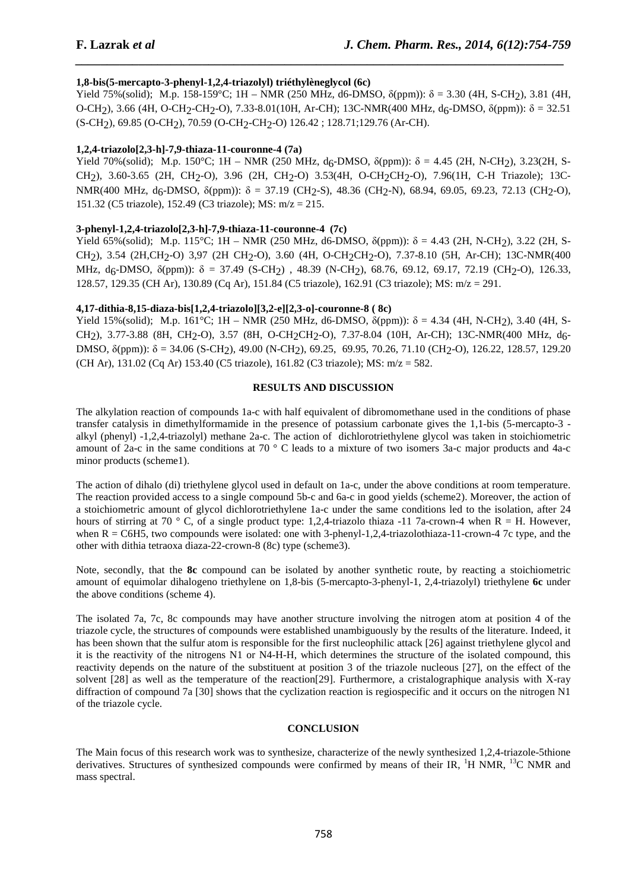# **1,8-bis(5-mercapto-3-phenyl-1,2,4-triazolyl) triéthylèneglycol (6c)**

Yield 75%(solid); M.p. 158-159°C; 1H – NMR (250 MHz, d6-DMSO, δ(ppm)): δ = 3.30 (4H, S-CH2), 3.81 (4H, O-CH<sub>2</sub>), 3.66 (4H, O-CH<sub>2</sub>-CH<sub>2</sub>-O), 7.33-8.01(10H, Ar-CH); 13C-NMR(400 MHz, d<sub>6</sub>-DMSO, δ(ppm)): δ = 32.51 (S-CH2), 69.85 (O-CH2), 70.59 (O-CH2-CH2-O) 126.42 ; 128.71;129.76 (Ar-CH).

*\_\_\_\_\_\_\_\_\_\_\_\_\_\_\_\_\_\_\_\_\_\_\_\_\_\_\_\_\_\_\_\_\_\_\_\_\_\_\_\_\_\_\_\_\_\_\_\_\_\_\_\_\_\_\_\_\_\_\_\_\_\_\_\_\_\_\_\_\_\_\_\_\_\_\_\_\_*

### **1,2,4-triazolo[2,3-h]-7,9-thiaza-11-couronne-4 (7a)**

Yield 70%(solid); M.p. 150°C; 1H – NMR (250 MHz, d<sub>6</sub>-DMSO,  $\delta$ (ppm)):  $\delta = 4.45$  (2H, N-CH<sub>2</sub>), 3.23(2H, S-CH2), 3.60-3.65 (2H, CH2-O), 3.96 (2H, CH2-O) 3.53(4H, O-CH2CH2-O), 7.96(1H, C-H Triazole); 13C-NMR(400 MHz, d<sub>6</sub>-DMSO,  $\delta$ (ppm)):  $\delta = 37.19$  (CH<sub>2</sub>-S), 48.36 (CH<sub>2</sub>-N), 68.94, 69.05, 69.23, 72.13 (CH<sub>2</sub>-O), 151.32 (C5 triazole), 152.49 (C3 triazole); MS: m/z = 215.

#### **3-phenyl-1,2,4-triazolo[2,3-h]-7,9-thiaza-11-couronne-4 (7c)**

Yield 65%(solid); M.p. 115°C; 1H – NMR (250 MHz, d6-DMSO,  $\delta$ (ppm)):  $\delta$  = 4.43 (2H, N-CH<sub>2</sub>), 3.22 (2H, S-CH2), 3.54 (2H,CH2-O) 3,97 (2H CH2-O), 3.60 (4H, O-CH2CH2-O), 7.37-8.10 (5H, Ar-CH); 13C-NMR(400 MHz,  $d_6$ -DMSO,  $\delta$ (ppm)):  $\delta = 37.49$  (S-CH<sub>2</sub>), 48.39 (N-CH<sub>2</sub>), 68.76, 69.12, 69.17, 72.19 (CH<sub>2</sub>-O), 126.33, 128.57, 129.35 (CH Ar), 130.89 (Cq Ar), 151.84 (C5 triazole), 162.91 (C3 triazole); MS: m/z = 291.

#### **4,17-dithia-8,15-diaza-bis[1,2,4-triazolo][3,2-e][2,3-o]-couronne-8 ( 8c)**

Yield 15%(solid); M.p. 161°C; 1H – NMR (250 MHz, d6-DMSO,  $\delta$ (ppm)):  $\delta = 4.34$  (4H, N-CH<sub>2</sub>), 3.40 (4H, S-CH<sub>2</sub>), 3.77-3.88 (8H, CH<sub>2</sub>-O), 3.57 (8H, O-CH<sub>2</sub>CH<sub>2</sub>-O), 7.37-8.04 (10H, Ar-CH); 13C-NMR(400 MHz, d<sub>6</sub>-DMSO, δ(ppm)): δ = 34.06 (S-CH<sub>2</sub>), 49.00 (N-CH<sub>2</sub>), 69.25, 69.95, 70.26, 71.10 (CH<sub>2</sub>-O), 126.22, 128.57, 129.20 (CH Ar), 131.02 (Cq Ar) 153.40 (C5 triazole), 161.82 (C3 triazole); MS: m/z = 582.

#### **RESULTS AND DISCUSSION**

The alkylation reaction of compounds 1a-c with half equivalent of dibromomethane used in the conditions of phase transfer catalysis in dimethylformamide in the presence of potassium carbonate gives the 1,1-bis (5-mercapto-3 alkyl (phenyl) -1,2,4-triazolyl) methane 2a-c. The action of dichlorotriethylene glycol was taken in stoichiometric amount of 2a-c in the same conditions at 70 ° C leads to a mixture of two isomers 3a-c major products and 4a-c minor products (scheme1).

The action of dihalo (di) triethylene glycol used in default on 1a-c, under the above conditions at room temperature. The reaction provided access to a single compound 5b-c and 6a-c in good yields (scheme2). Moreover, the action of a stoichiometric amount of glycol dichlorotriethylene 1a-c under the same conditions led to the isolation, after 24 hours of stirring at 70 ° C, of a single product type: 1,2,4-triazolo thiaza -11 7a-crown-4 when  $R = H$ . However, when R = C6H5, two compounds were isolated: one with 3-phenyl-1,2,4-triazolothiaza-11-crown-4 7c type, and the other with dithia tetraoxa diaza-22-crown-8 (8c) type (scheme3).

Note, secondly, that the **8c** compound can be isolated by another synthetic route, by reacting a stoichiometric amount of equimolar dihalogeno triethylene on 1,8-bis (5-mercapto-3-phenyl-1, 2,4-triazolyl) triethylene **6c** under the above conditions (scheme 4).

The isolated 7a, 7c, 8c compounds may have another structure involving the nitrogen atom at position 4 of the triazole cycle, the structures of compounds were established unambiguously by the results of the literature. Indeed, it has been shown that the sulfur atom is responsible for the first nucleophilic attack [26] against triethylene glycol and it is the reactivity of the nitrogens N1 or N4-H-H, which determines the structure of the isolated compound, this reactivity depends on the nature of the substituent at position 3 of the triazole nucleous [27], on the effect of the solvent [28] as well as the temperature of the reaction[29]. Furthermore, a cristalographique analysis with X-ray diffraction of compound 7a [30] shows that the cyclization reaction is regiospecific and it occurs on the nitrogen N1 of the triazole cycle.

#### **CONCLUSION**

The Main focus of this research work was to synthesize, characterize of the newly synthesized 1,2,4-triazole-5thione derivatives. Structures of synthesized compounds were confirmed by means of their IR,  ${}^{1}H$  NMR,  ${}^{13}C$  NMR and mass spectral.